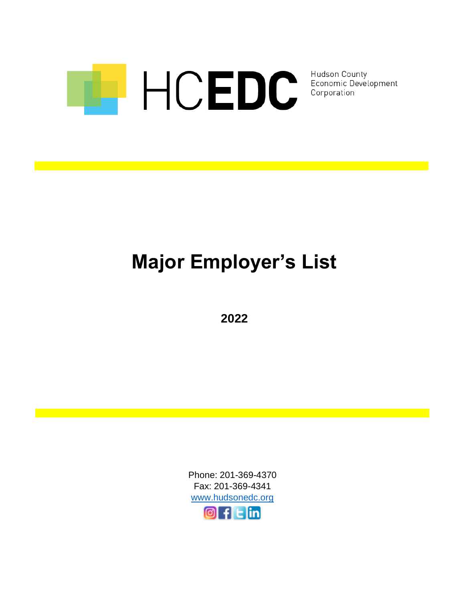

Hudson County Economic Development<br>Corporation

# **Major Employer's List**

**2022**

Phone: 201-369-4370 Fax: 201-369-4341 [www.hudsonedc.org](http://www.hudsonedc.org/)  $\mathsf{Llin}$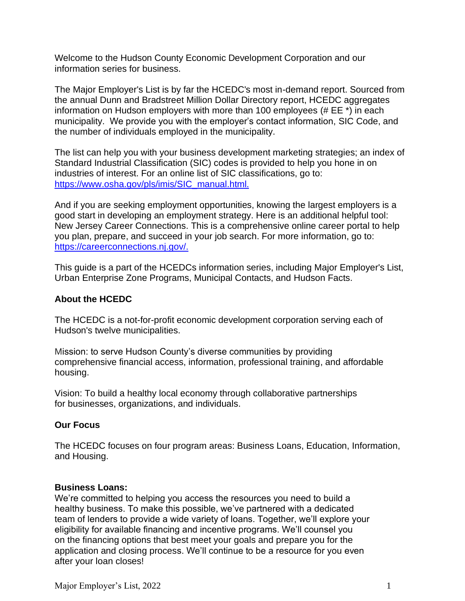Welcome to the Hudson County Economic Development Corporation and our information series for business.

The Major Employer's List is by far the HCEDC's most in-demand report. Sourced from the annual Dunn and Bradstreet Million Dollar Directory report, HCEDC aggregates information on Hudson employers with more than 100 employees (# EE \*) in each municipality. We provide you with the employer's contact information, SIC Code, and the number of individuals employed in the municipality.

The list can help you with your business development marketing strategies; an index of Standard Industrial Classification (SIC) codes is provided to help you hone in on industries of interest. For an online list of SIC classifications, go to: [https://www.osha.gov/pls/imis/SIC\\_manual.html.](https://www.osha.gov/pls/imis/sic_manual.html)

And if you are seeking employment opportunities, knowing the largest employers is a good start in developing an employment strategy. Here is an additional helpful tool: New Jersey Career Connections. This is a comprehensive online career portal to help you plan, prepare, and succeed in your job search. For more information, go to: [https://careerconnections.nj.gov/.](https://careerconnections.nj.gov/)

This guide is a part of the HCEDCs information series, including Major Employer's List, Urban Enterprise Zone Programs, Municipal Contacts, and Hudson Facts.

# **About the HCEDC**

The HCEDC is a not-for-profit economic development corporation serving each of Hudson's twelve municipalities.

Mission: to serve Hudson County's diverse communities by providing comprehensive financial access, information, professional training, and affordable housing.

Vision: To build a healthy local economy through collaborative partnerships for businesses, organizations, and individuals.

# **Our Focus**

The HCEDC focuses on four program areas: Business Loans, Education, Information, and Housing.

#### **Business Loans:**

We're committed to helping you access the resources you need to build a healthy business. To make this possible, we've partnered with a dedicated team of lenders to provide a wide variety of loans. Together, we'll explore your eligibility for available financing and incentive programs. We'll counsel you on the financing options that best meet your goals and prepare you for the application and closing process. We'll continue to be a resource for you even after your loan closes!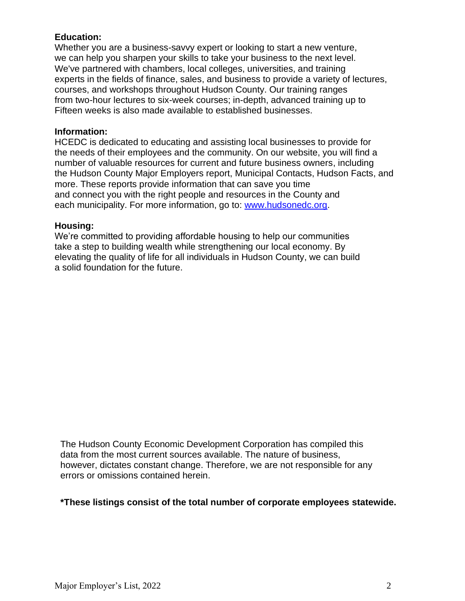# **Education:**

Whether you are a business-savvy expert or looking to start a new venture, we can help you sharpen your skills to take your business to the next level. We've partnered with chambers, local colleges, universities, and training experts in the fields of finance, sales, and business to provide a variety of lectures, courses, and workshops throughout Hudson County. Our training ranges from two-hour lectures to six-week courses; in-depth, advanced training up to Fifteen weeks is also made available to established businesses.

### **Information:**

HCEDC is dedicated to educating and assisting local businesses to provide for the needs of their employees and the community. On our website, you will find a number of valuable resources for current and future business owners, including the Hudson County Major Employers report, Municipal Contacts, Hudson Facts, and more. These reports provide information that can save you time and connect you with the right people and resources in the County and each municipality. For more information, go to: [www.hudsonedc.org.](http://www.hudsonedc.org/)

#### **Housing:**

We're committed to providing affordable housing to help our communities take a step to building wealth while strengthening our local economy. By elevating the quality of life for all individuals in Hudson County, we can build a solid foundation for the future.

The Hudson County Economic Development Corporation has compiled this data from the most current sources available. The nature of business, however, dictates constant change. Therefore, we are not responsible for any errors or omissions contained herein.

# **\*These listings consist of the total number of corporate employees statewide.**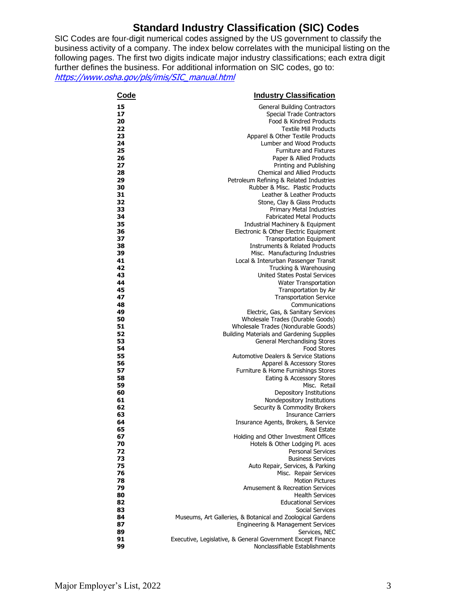# **Standard Industry Classification (SIC) Codes**

SIC Codes are four-digit numerical codes assigned by the US government to classify the business activity of a company. The index below correlates with the municipal listing on the following pages. The first two digits indicate major industry classifications; each extra digit further defines the business. For additional information on SIC codes, go to: [https://www.osha.gov/pls/imis/SIC\\_manual.html](https://www.osha.gov/pls/imis/SIC_manual.html)

| <b>Code</b> | <b>Industry Classification</b>                                                                  |
|-------------|-------------------------------------------------------------------------------------------------|
| 15          | <b>General Building Contractors</b>                                                             |
| 17          | <b>Special Trade Contractors</b>                                                                |
| 20          | Food & Kindred Products                                                                         |
| 22          | <b>Textile Mill Products</b>                                                                    |
| 23          | Apparel & Other Textile Products                                                                |
| 24          | Lumber and Wood Products                                                                        |
| 25          | <b>Furniture and Fixtures</b>                                                                   |
| 26          | Paper & Allied Products                                                                         |
| 27          | Printing and Publishing                                                                         |
| 28          | <b>Chemical and Allied Products</b>                                                             |
| 29          | Petroleum Refining & Related Industries                                                         |
| 30          | Rubber & Misc. Plastic Products                                                                 |
| 31          | Leather & Leather Products                                                                      |
| 32          | Stone, Clay & Glass Products                                                                    |
| 33          | <b>Primary Metal Industries</b>                                                                 |
| 34          | <b>Fabricated Metal Products</b>                                                                |
| 35<br>36    | Industrial Machinery & Equipment                                                                |
| 37          | Electronic & Other Electric Equipment<br><b>Transportation Equipment</b>                        |
| 38          | Instruments & Related Products                                                                  |
| 39          | Misc. Manufacturing Industries                                                                  |
| 41          | Local & Interurban Passenger Transit                                                            |
| 42          | Trucking & Warehousing                                                                          |
| 43          | United States Postal Services                                                                   |
| 44          | <b>Water Transportation</b>                                                                     |
| 45          | Transportation by Air                                                                           |
| 47          | <b>Transportation Service</b>                                                                   |
| 48          | Communications                                                                                  |
| 49          | Electric, Gas, & Sanitary Services                                                              |
| 50          | Wholesale Trades (Durable Goods)                                                                |
| 51          | Wholesale Trades (Nondurable Goods)                                                             |
| 52          | Building Materials and Gardening Supplies                                                       |
| 53          | <b>General Merchandising Stores</b>                                                             |
| 54          | <b>Food Stores</b>                                                                              |
| 55          | <b>Automotive Dealers &amp; Service Stations</b>                                                |
| 56          | Apparel & Accessory Stores                                                                      |
| 57<br>58    | Furniture & Home Furnishings Stores                                                             |
| 59          | Eating & Accessory Stores<br>Misc. Retail                                                       |
| 60          | Depository Institutions                                                                         |
| 61          | Nondepository Institutions                                                                      |
| 62          | Security & Commodity Brokers                                                                    |
| 63          | <b>Insurance Carriers</b>                                                                       |
| 64          | Insurance Agents, Brokers, & Service                                                            |
| 65          | <b>Real Estate</b>                                                                              |
| 67          | Holding and Other Investment Offices                                                            |
| 70          | Hotels & Other Lodging Pl. aces                                                                 |
| 72          | <b>Personal Services</b>                                                                        |
| 73          | <b>Business Services</b>                                                                        |
| 75          | Auto Repair, Services, & Parking                                                                |
| 76          | Misc. Repair Services                                                                           |
| 78          | <b>Motion Pictures</b>                                                                          |
| 79          | Amusement & Recreation Services                                                                 |
| 80          | <b>Health Services</b>                                                                          |
| 82          | <b>Educational Services</b>                                                                     |
| 83          | Social Services                                                                                 |
| 84<br>87    | Museums, Art Galleries, & Botanical and Zoological Gardens<br>Engineering & Management Services |
| 89          | Services, NEC                                                                                   |
| 91          | Executive, Legislative, & General Government Except Finance                                     |
| 99          | Nonclassifiable Establishments                                                                  |
|             |                                                                                                 |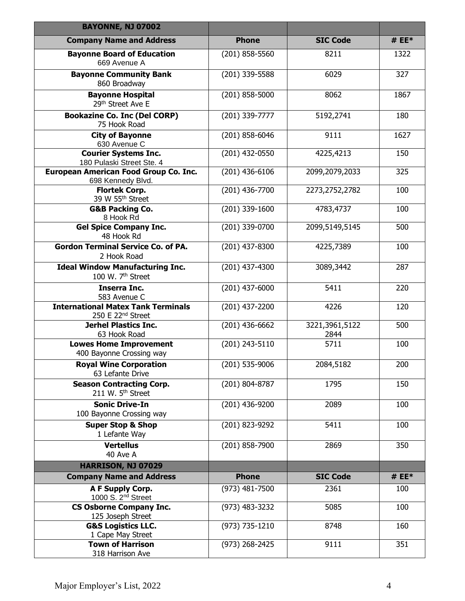| <b>BAYONNE, NJ 07002</b>                                                   |                  |                        |         |
|----------------------------------------------------------------------------|------------------|------------------------|---------|
| <b>Company Name and Address</b>                                            | <b>Phone</b>     | <b>SIC Code</b>        | # $EE*$ |
| <b>Bayonne Board of Education</b><br>669 Avenue A                          | $(201)$ 858-5560 | 8211                   | 1322    |
| <b>Bayonne Community Bank</b><br>860 Broadway                              | (201) 339-5588   | 6029                   | 327     |
| <b>Bayonne Hospital</b><br>29th Street Ave E                               | $(201)$ 858-5000 | 8062                   | 1867    |
| <b>Bookazine Co. Inc (Del CORP)</b><br>75 Hook Road                        | (201) 339-7777   | 5192,2741              | 180     |
| <b>City of Bayonne</b><br>630 Avenue C                                     | $(201)$ 858-6046 | 9111                   | 1627    |
| <b>Courier Systems Inc.</b><br>180 Pulaski Street Ste. 4                   | (201) 432-0550   | 4225,4213              | 150     |
| European American Food Group Co. Inc.<br>698 Kennedy Blvd.                 | $(201)$ 436-6106 | 2099,2079,2033         | 325     |
| <b>Flortek Corp.</b><br>39 W 55 <sup>th</sup> Street                       | (201) 436-7700   | 2273,2752,2782         | 100     |
| <b>G&amp;B Packing Co.</b><br>8 Hook Rd                                    | (201) 339-1600   | 4783,4737              | 100     |
| <b>Gel Spice Company Inc.</b><br>48 Hook Rd                                | (201) 339-0700   | 2099,5149,5145         | 500     |
| <b>Gordon Terminal Service Co. of PA.</b><br>2 Hook Road                   | (201) 437-8300   | 4225,7389              | 100     |
| <b>Ideal Window Manufacturing Inc.</b><br>100 W. 7 <sup>th</sup> Street    | $(201)$ 437-4300 | 3089,3442              | 287     |
| <b>Inserra Inc.</b><br>583 Avenue C                                        | $(201)$ 437-6000 | 5411                   | 220     |
| <b>International Matex Tank Terminals</b><br>250 E 22 <sup>nd</sup> Street | (201) 437-2200   | 4226                   | 120     |
| <b>Jerhel Plastics Inc.</b><br>63 Hook Road                                | $(201)$ 436-6662 | 3221,3961,5122<br>2844 | 500     |
| <b>Lowes Home Improvement</b><br>400 Bayonne Crossing way                  | (201) 243-5110   | 5711                   | 100     |
| <b>Royal Wine Corporation</b><br>63 Lefante Drive                          | $(201)$ 535-9006 | 2084,5182              | 200     |
| <b>Season Contracting Corp.</b><br>211 W. 5 <sup>th</sup> Street           | (201) 804-8787   | 1795                   | 150     |
| <b>Sonic Drive-In</b><br>100 Bayonne Crossing way                          | (201) 436-9200   | 2089                   | 100     |
| <b>Super Stop &amp; Shop</b><br>1 Lefante Way                              | (201) 823-9292   | 5411                   | 100     |
| <b>Vertellus</b><br>40 Ave A                                               | (201) 858-7900   | 2869                   | 350     |
| HARRISON, NJ 07029                                                         |                  |                        |         |
| <b>Company Name and Address</b>                                            | <b>Phone</b>     | <b>SIC Code</b>        | # $EE*$ |
| A F Supply Corp.<br>1000 S. 2 <sup>nd</sup> Street                         | (973) 481-7500   | 2361                   | 100     |
| <b>CS Osborne Company Inc.</b><br>125 Joseph Street                        | (973) 483-3232   | 5085                   | 100     |
| <b>G&amp;S Logistics LLC.</b><br>1 Cape May Street                         | (973) 735-1210   | 8748                   | 160     |
| <b>Town of Harrison</b><br>318 Harrison Ave                                | (973) 268-2425   | 9111                   | 351     |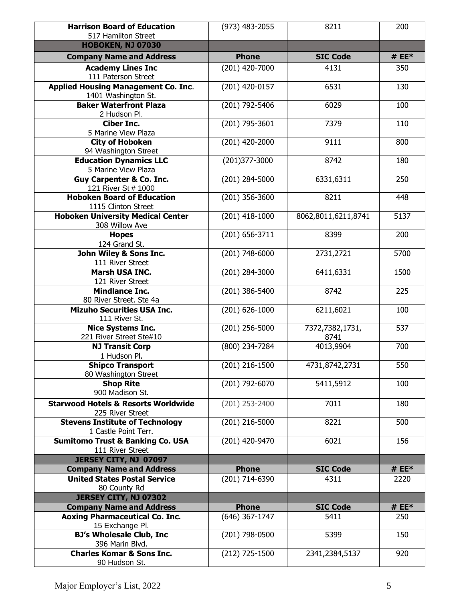| <b>Harrison Board of Education</b>                                 | (973) 483-2055     | 8211                    | 200     |
|--------------------------------------------------------------------|--------------------|-------------------------|---------|
| 517 Hamilton Street                                                |                    |                         |         |
| <b>HOBOKEN, NJ 07030</b>                                           |                    |                         |         |
| <b>Company Name and Address</b>                                    | <b>Phone</b>       | <b>SIC Code</b>         | # $EE*$ |
| <b>Academy Lines Inc</b><br>111 Paterson Street                    | (201) 420-7000     | 4131                    | 350     |
| <b>Applied Housing Management Co. Inc.</b><br>1401 Washington St.  | (201) 420-0157     | 6531                    | 130     |
| <b>Baker Waterfront Plaza</b><br>2 Hudson Pl.                      | (201) 792-5406     | 6029                    | 100     |
| <b>Ciber Inc.</b><br>5 Marine View Plaza                           | (201) 795-3601     | 7379                    | 110     |
| <b>City of Hoboken</b><br>94 Washington Street                     | (201) 420-2000     | 9111                    | 800     |
| <b>Education Dynamics LLC</b><br>5 Marine View Plaza               | (201)377-3000      | 8742                    | 180     |
| <b>Guy Carpenter &amp; Co. Inc.</b><br>121 River St # 1000         | (201) 284-5000     | 6331,6311               | 250     |
| <b>Hoboken Board of Education</b><br>1115 Clinton Street           | (201) 356-3600     | 8211                    | 448     |
| <b>Hoboken University Medical Center</b><br>308 Willow Ave         | (201) 418-1000     | 8062,8011,6211,8741     | 5137    |
| <b>Hopes</b><br>124 Grand St.                                      | (201) 656-3711     | 8399                    | 200     |
| John Wiley & Sons Inc.<br>111 River Street                         | (201) 748-6000     | 2731,2721               | 5700    |
| <b>Marsh USA INC.</b><br>121 River Street                          | (201) 284-3000     | 6411,6331               | 1500    |
| <b>Mindlance Inc.</b><br>80 River Street. Ste 4a                   | (201) 386-5400     | 8742                    | 225     |
| <b>Mizuho Securities USA Inc.</b><br>111 River St.                 | $(201) 626 - 1000$ | 6211,6021               | 100     |
| <b>Nice Systems Inc.</b><br>221 River Street Ste#10                | $(201)$ 256-5000   | 7372,7382,1731,<br>8741 | 537     |
| <b>NJ Transit Corp</b><br>1 Hudson Pl.                             | $(800)$ 234-7284   | 4013,9904               | 700     |
| <b>Shipco Transport</b><br>80 Washington Street                    | (201) 216-1500     | 4731,8742,2731          | 550     |
| <b>Shop Rite</b><br>900 Madison St.                                | (201) 792-6070     | 5411,5912               | 100     |
| <b>Starwood Hotels &amp; Resorts Worldwide</b><br>225 River Street | (201) 253-2400     | 7011                    | 180     |
| <b>Stevens Institute of Technology</b><br>1 Castle Point Terr.     | (201) 216-5000     | 8221                    | 500     |
| <b>Sumitomo Trust &amp; Banking Co. USA</b><br>111 River Street    | (201) 420-9470     | 6021                    | 156     |
| JERSEY CITY, NJ 07097                                              |                    |                         |         |
| <b>Company Name and Address</b>                                    | <b>Phone</b>       | <b>SIC Code</b>         | # $EE*$ |
| <b>United States Postal Service</b>                                | (201) 714-6390     | 4311                    | 2220    |
| 80 County Rd                                                       |                    |                         |         |
| JERSEY CITY, NJ 07302                                              |                    |                         | # $EE*$ |
| <b>Company Name and Address</b>                                    | <b>Phone</b>       | <b>SIC Code</b>         |         |
| <b>Aoxing Pharmaceutical Co. Inc.</b><br>15 Exchange Pl.           | (646) 367-1747     | 5411                    | 250     |
| <b>BJ's Wholesale Club, Inc</b><br>396 Marin Blvd.                 | (201) 798-0500     | 5399                    | 150     |
| <b>Charles Komar &amp; Sons Inc.</b><br>90 Hudson St.              | (212) 725-1500     | 2341,2384,5137          | 920     |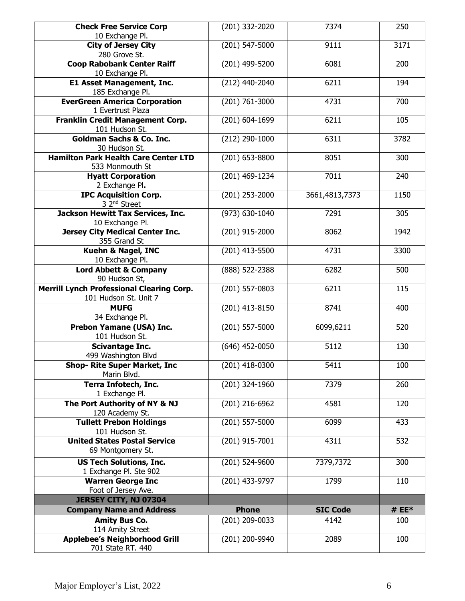| <b>Check Free Service Corp</b>                       | (201) 332-2020     | 7374            | 250     |
|------------------------------------------------------|--------------------|-----------------|---------|
| 10 Exchange Pl.                                      |                    |                 |         |
| <b>City of Jersey City</b>                           | (201) 547-5000     | 9111            | 3171    |
| 280 Grove St.                                        |                    |                 |         |
| <b>Coop Rabobank Center Raiff</b>                    | (201) 499-5200     | 6081            | 200     |
| 10 Exchange Pl.                                      |                    |                 |         |
| <b>E1 Asset Management, Inc.</b>                     | (212) 440-2040     | 6211            | 194     |
| 185 Exchange Pl.                                     |                    |                 |         |
| <b>EverGreen America Corporation</b>                 | $(201) 761 - 3000$ | 4731            | 700     |
| 1 Evertrust Plaza                                    |                    |                 |         |
| Franklin Credit Management Corp.                     | (201) 604-1699     | 6211            | 105     |
| 101 Hudson St.                                       |                    |                 |         |
| <b>Goldman Sachs &amp; Co. Inc.</b><br>30 Hudson St. | (212) 290-1000     | 6311            | 3782    |
| <b>Hamilton Park Health Care Center LTD</b>          | (201) 653-8800     | 8051            | 300     |
| 533 Monmouth St                                      |                    |                 |         |
| <b>Hyatt Corporation</b>                             | (201) 469-1234     | 7011            | 240     |
| 2 Exchange Pl.                                       |                    |                 |         |
| <b>IPC Acquisition Corp.</b>                         | (201) 253-2000     | 3661,4813,7373  | 1150    |
| 3 2 <sup>nd</sup> Street                             |                    |                 |         |
| Jackson Hewitt Tax Services, Inc.                    | $(973) 630 - 1040$ | 7291            | 305     |
| 10 Exchange Pl.                                      |                    |                 |         |
| <b>Jersey City Medical Center Inc.</b>               | (201) 915-2000     | 8062            | 1942    |
| 355 Grand St                                         |                    |                 |         |
| <b>Kuehn &amp; Nagel, INC</b>                        | (201) 413-5500     | 4731            | 3300    |
| 10 Exchange Pl.                                      |                    |                 |         |
| <b>Lord Abbett &amp; Company</b>                     | (888) 522-2388     | 6282            | 500     |
| 90 Hudson St,                                        |                    |                 |         |
| <b>Merrill Lynch Professional Clearing Corp.</b>     | (201) 557-0803     | 6211            | 115     |
| 101 Hudson St. Unit 7                                |                    |                 |         |
| <b>MUFG</b>                                          | (201) 413-8150     | 8741            | 400     |
| 34 Exchange Pl.                                      |                    |                 |         |
| Prebon Yamane (USA) Inc.                             | (201) 557-5000     | 6099,6211       | 520     |
| 101 Hudson St.                                       |                    |                 |         |
| Scivantage Inc.                                      | $(646)$ 452-0050   | 5112            | 130     |
| 499 Washington Blvd                                  |                    |                 |         |
| <b>Shop- Rite Super Market, Inc</b><br>Marin Blvd.   | (201) 418-0300     | 5411            | 100     |
|                                                      |                    | 7379            |         |
| Terra Infotech, Inc.<br>1 Exchange Pl.               | (201) 324-1960     |                 | 260     |
| The Port Authority of NY & NJ                        | (201) 216-6962     | 4581            | 120     |
| 120 Academy St.                                      |                    |                 |         |
| <b>Tullett Prebon Holdings</b>                       | (201) 557-5000     | 6099            | 433     |
| 101 Hudson St.                                       |                    |                 |         |
| <b>United States Postal Service</b>                  | (201) 915-7001     | 4311            | 532     |
| 69 Montgomery St.                                    |                    |                 |         |
| <b>US Tech Solutions, Inc.</b>                       | (201) 524-9600     | 7379,7372       | 300     |
| 1 Exchange Pl. Ste 902                               |                    |                 |         |
| <b>Warren George Inc</b>                             | (201) 433-9797     | 1799            | 110     |
| Foot of Jersey Ave.                                  |                    |                 |         |
| JERSEY CITY, NJ 07304                                |                    |                 |         |
| <b>Company Name and Address</b>                      | <b>Phone</b>       | <b>SIC Code</b> | # $EE*$ |
| <b>Amity Bus Co.</b>                                 | (201) 209-0033     | 4142            | 100     |
| 114 Amity Street                                     |                    |                 |         |
| <b>Applebee's Neighborhood Grill</b>                 | (201) 200-9940     | 2089            | 100     |
| 701 State RT. 440                                    |                    |                 |         |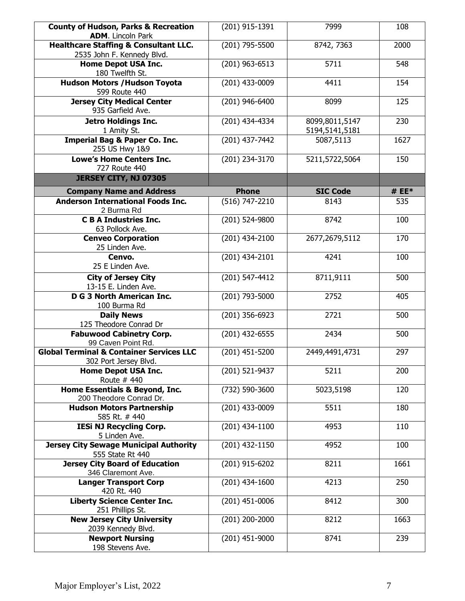| <b>County of Hudson, Parks &amp; Recreation</b><br><b>ADM.</b> Lincoln Park    | (201) 915-1391   | 7999                             | 108     |
|--------------------------------------------------------------------------------|------------------|----------------------------------|---------|
| <b>Healthcare Staffing &amp; Consultant LLC.</b><br>2535 John F. Kennedy Blvd. | (201) 795-5500   | 8742, 7363                       | 2000    |
| <b>Home Depot USA Inc.</b><br>180 Twelfth St.                                  | (201) 963-6513   | 5711                             | 548     |
| <b>Hudson Motors / Hudson Toyota</b><br>599 Route 440                          | (201) 433-0009   | 4411                             | 154     |
| <b>Jersey City Medical Center</b><br>935 Garfield Ave.                         | (201) 946-6400   | 8099                             | 125     |
| <b>Jetro Holdings Inc.</b><br>1 Amity St.                                      | (201) 434-4334   | 8099,8011,5147<br>5194,5141,5181 | 230     |
| <b>Imperial Bag &amp; Paper Co. Inc.</b><br>255 US Hwy 1&9                     | (201) 437-7442   | 5087,5113                        | 1627    |
| <b>Lowe's Home Centers Inc.</b><br>727 Route 440                               | (201) 234-3170   | 5211,5722,5064                   | 150     |
| JERSEY CITY, NJ 07305                                                          |                  |                                  |         |
| <b>Company Name and Address</b>                                                | <b>Phone</b>     | <b>SIC Code</b>                  | # $EE*$ |
| <b>Anderson International Foods Inc.</b><br>2 Burma Rd                         | (516) 747-2210   | 8143                             | 535     |
| <b>C B A Industries Inc.</b><br>63 Pollock Ave.                                | (201) 524-9800   | 8742                             | 100     |
| <b>Cenveo Corporation</b><br>25 Linden Ave.                                    | (201) 434-2100   | 2677,2679,5112                   | 170     |
| Cenvo.<br>25 E Linden Ave.                                                     | (201) 434-2101   | 4241                             | 100     |
| <b>City of Jersey City</b><br>13-15 E. Linden Ave.                             | (201) 547-4412   | 8711,9111                        | 500     |
| <b>D G 3 North American Inc.</b><br>100 Burma Rd                               | (201) 793-5000   | 2752                             | 405     |
| <b>Daily News</b><br>125 Theodore Conrad Dr                                    | (201) 356-6923   | 2721                             | 500     |
| <b>Fabuwood Cabinetry Corp.</b><br>99 Caven Point Rd.                          | (201) 432-6555   | 2434                             | 500     |
| <b>Global Terminal &amp; Container Services LLC</b><br>302 Port Jersey Blvd.   | (201) 451-5200   | 2449,4491,4731                   | 297     |
| <b>Home Depot USA Inc.</b><br>Route # 440                                      | (201) 521-9437   | 5211                             | 200     |
| Home Essentials & Beyond, Inc.<br>200 Theodore Conrad Dr.                      | (732) 590-3600   | 5023,5198                        | 120     |
| <b>Hudson Motors Partnership</b><br>585 Rt. #440                               | (201) 433-0009   | 5511                             | 180     |
| <b>IESi NJ Recycling Corp.</b><br>5 Linden Ave.                                | (201) 434-1100   | 4953                             | 110     |
| <b>Jersey City Sewage Municipal Authority</b><br>555 State Rt 440              | (201) 432-1150   | 4952                             | 100     |
| <b>Jersey City Board of Education</b><br>346 Claremont Ave.                    | (201) 915-6202   | 8211                             | 1661    |
| <b>Langer Transport Corp</b><br>420 Rt. 440                                    | (201) 434-1600   | 4213                             | 250     |
| <b>Liberty Science Center Inc.</b><br>251 Phillips St.                         | $(201)$ 451-0006 | 8412                             | 300     |
| <b>New Jersey City University</b><br>2039 Kennedy Blvd.                        | (201) 200-2000   | 8212                             | 1663    |
| <b>Newport Nursing</b><br>198 Stevens Ave.                                     | (201) 451-9000   | 8741                             | 239     |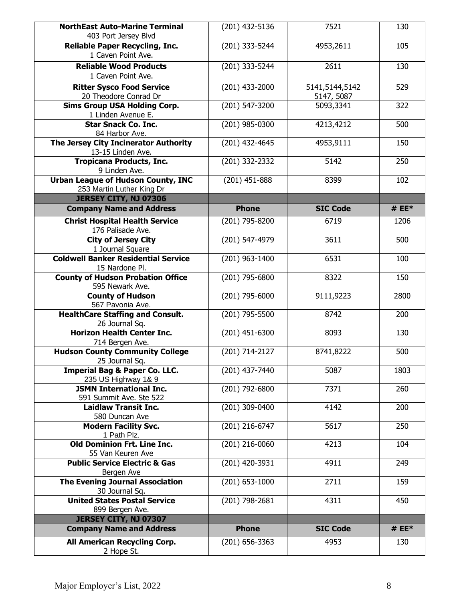| <b>NorthEast Auto-Marine Terminal</b><br>403 Port Jersey Blvd          | (201) 432-5136   | 7521                         | 130     |
|------------------------------------------------------------------------|------------------|------------------------------|---------|
| <b>Reliable Paper Recycling, Inc.</b><br>1 Caven Point Ave.            | (201) 333-5244   | 4953,2611                    | 105     |
| <b>Reliable Wood Products</b><br>1 Caven Point Ave.                    | (201) 333-5244   | 2611                         | 130     |
| <b>Ritter Sysco Food Service</b><br>20 Theodore Conrad Dr              | (201) 433-2000   | 5141,5144,5142<br>5147, 5087 | 529     |
| <b>Sims Group USA Holding Corp.</b><br>1 Linden Avenue E.              | (201) 547-3200   | 5093,3341                    | 322     |
| <b>Star Snack Co. Inc.</b><br>84 Harbor Ave.                           | (201) 985-0300   | 4213,4212                    | 500     |
| The Jersey City Incinerator Authority<br>13-15 Linden Ave.             | (201) 432-4645   | 4953,9111                    | 150     |
| <b>Tropicana Products, Inc.</b><br>9 Linden Ave.                       | (201) 332-2332   | 5142                         | 250     |
| <b>Urban League of Hudson County, INC</b><br>253 Martin Luther King Dr | (201) 451-888    | 8399                         | 102     |
| JERSEY CITY, NJ 07306                                                  |                  |                              |         |
| <b>Company Name and Address</b>                                        | <b>Phone</b>     | <b>SIC Code</b>              | # $EE*$ |
| <b>Christ Hospital Health Service</b><br>176 Palisade Ave.             | (201) 795-8200   | 6719                         | 1206    |
| <b>City of Jersey City</b><br>1 Journal Square                         | (201) 547-4979   | 3611                         | 500     |
| <b>Coldwell Banker Residential Service</b><br>15 Nardone Pl.           | (201) 963-1400   | 6531                         | 100     |
| <b>County of Hudson Probation Office</b><br>595 Newark Ave.            | (201) 795-6800   | 8322                         | 150     |
| <b>County of Hudson</b><br>567 Pavonia Ave.                            | (201) 795-6000   | 9111,9223                    | 2800    |
| <b>HealthCare Staffing and Consult.</b><br>26 Journal Sq.              | (201) 795-5500   | 8742                         | 200     |
| <b>Horizon Health Center Inc.</b><br>714 Bergen Ave.                   | $(201)$ 451-6300 | 8093                         | 130     |
| <b>Hudson County Community College</b><br>25 Journal Sq.               | (201) 714-2127   | 8741,8222                    | 500     |
| Imperial Bag & Paper Co. LLC.<br>235 US Highway 1& 9                   | (201) 437-7440   | 5087                         | 1803    |
| <b>JSMN International Inc.</b><br>591 Summit Ave. Ste 522              | (201) 792-6800   | 7371                         | 260     |
| <b>Laidlaw Transit Inc.</b><br>580 Duncan Ave                          | (201) 309-0400   | 4142                         | 200     |
| <b>Modern Facility Svc.</b><br>1 Path Plz.                             | (201) 216-6747   | 5617                         | 250     |
| Old Dominion Frt. Line Inc.<br>55 Van Keuren Ave                       | (201) 216-0060   | 4213                         | 104     |
| <b>Public Service Electric &amp; Gas</b><br>Bergen Ave                 | (201) 420-3931   | 4911                         | 249     |
| <b>The Evening Journal Association</b><br>30 Journal Sq.               | $(201)$ 653-1000 | 2711                         | 159     |
| <b>United States Postal Service</b><br>899 Bergen Ave.                 | (201) 798-2681   | 4311                         | 450     |
| JERSEY CITY, NJ 07307                                                  |                  |                              |         |
| <b>Company Name and Address</b>                                        | <b>Phone</b>     | <b>SIC Code</b>              | # $EE*$ |
| All American Recycling Corp.<br>2 Hope St.                             | (201) 656-3363   | 4953                         | 130     |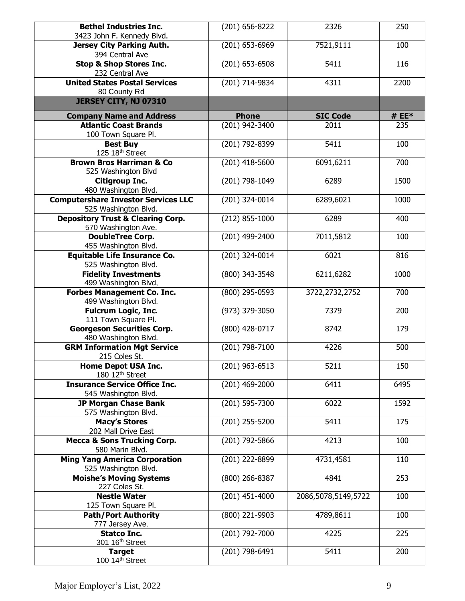| <b>Bethel Industries Inc.</b><br>3423 John F. Kennedy Blvd.         | (201) 656-8222   | 2326                | 250     |
|---------------------------------------------------------------------|------------------|---------------------|---------|
| <b>Jersey City Parking Auth.</b><br>394 Central Ave                 | (201) 653-6969   | 7521,9111           | 100     |
| <b>Stop &amp; Shop Stores Inc.</b><br>232 Central Ave               | $(201)$ 653-6508 | 5411                | 116     |
| <b>United States Postal Services</b><br>80 County Rd                | (201) 714-9834   | 4311                | 2200    |
| JERSEY CITY, NJ 07310                                               |                  |                     |         |
| <b>Company Name and Address</b>                                     | <b>Phone</b>     | <b>SIC Code</b>     | # $EE*$ |
| <b>Atlantic Coast Brands</b>                                        | (201) 942-3400   | 2011                | 235     |
| 100 Town Square Pl.                                                 |                  |                     |         |
| <b>Best Buy</b><br>125 18th Street                                  | (201) 792-8399   | 5411                | 100     |
| <b>Brown Bros Harriman &amp; Co</b><br>525 Washington Blvd          | $(201)$ 418-5600 | 6091,6211           | 700     |
| <b>Citigroup Inc.</b><br>480 Washington Blvd.                       | (201) 798-1049   | 6289                | 1500    |
| <b>Computershare Investor Services LLC</b><br>525 Washington Blvd.  | (201) 324-0014   | 6289,6021           | 1000    |
| <b>Depository Trust &amp; Clearing Corp.</b><br>570 Washington Ave. | $(212)$ 855-1000 | 6289                | 400     |
| <b>DoubleTree Corp.</b><br>455 Washington Blvd.                     | (201) 499-2400   | 7011,5812           | 100     |
| <b>Equitable Life Insurance Co.</b><br>525 Washington Blvd.         | (201) 324-0014   | 6021                | 816     |
| <b>Fidelity Investments</b><br>499 Washington Blvd,                 | (800) 343-3548   | 6211,6282           | 1000    |
| <b>Forbes Management Co. Inc.</b><br>499 Washington Blvd.           | (800) 295-0593   | 3722,2732,2752      | 700     |
| <b>Fulcrum Logic, Inc.</b><br>111 Town Square Pl.                   | (973) 379-3050   | 7379                | 200     |
| <b>Georgeson Securities Corp.</b><br>480 Washington Blvd.           | (800) 428-0717   | 8742                | 179     |
| <b>GRM Information Mgt Service</b><br>215 Coles St.                 | (201) 798-7100   | 4226                | 500     |
| <b>Home Depot USA Inc.</b><br>180 12 <sup>th</sup> Street           | (201) 963-6513   | 5211                | 150     |
| <b>Insurance Service Office Inc.</b><br>545 Washington Blvd.        | (201) 469-2000   | 6411                | 6495    |
| <b>JP Morgan Chase Bank</b><br>575 Washington Blvd.                 | (201) 595-7300   | 6022                | 1592    |
| <b>Macy's Stores</b><br>202 Mall Drive East                         | (201) 255-5200   | 5411                | 175     |
| <b>Mecca &amp; Sons Trucking Corp.</b><br>580 Marin Blvd.           | (201) 792-5866   | 4213                | 100     |
| <b>Ming Yang America Corporation</b><br>525 Washington Blvd.        | (201) 222-8899   | 4731,4581           | 110     |
| <b>Moishe's Moving Systems</b><br>227 Coles St.                     | (800) 266-8387   | 4841                | 253     |
| <b>Nestle Water</b><br>125 Town Square Pl.                          | (201) 451-4000   | 2086,5078,5149,5722 | 100     |
| <b>Path/Port Authority</b><br>777 Jersey Ave.                       | (800) 221-9903   | 4789,8611           | 100     |
| <b>Statco Inc.</b>                                                  | (201) 792-7000   | 4225                | 225     |
| 301 16 <sup>th</sup> Street<br><b>Target</b><br>100 14th Street     | (201) 798-6491   | 5411                | 200     |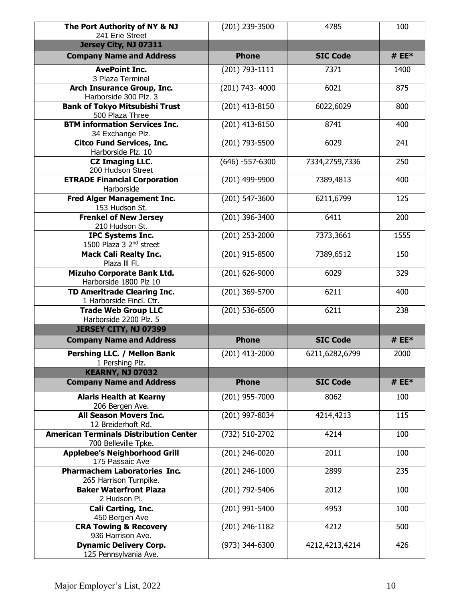| The Port Authority of NY & NJ<br>241 Erie Street                      | (201) 239-3500       | 4785            | 100     |
|-----------------------------------------------------------------------|----------------------|-----------------|---------|
| Jersey City, NJ 07311                                                 |                      |                 |         |
| <b>Company Name and Address</b>                                       | <b>Phone</b>         | <b>SIC Code</b> | # $EE*$ |
| <b>AvePoint Inc.</b><br>3 Plaza Terminal                              | (201) 793-1111       | 7371            | 1400    |
| <b>Arch Insurance Group, Inc.</b><br>Harborside 300 Plz. 3            | (201) 743-4000       | 6021            | 875     |
| <b>Bank of Tokyo Mitsubishi Trust</b><br>500 Plaza Three              | (201) 413-8150       | 6022,6029       | 800     |
| <b>BTM information Services Inc.</b><br>34 Exchange Plz.              | (201) 413-8150       | 8741            | 400     |
| <b>Citco Fund Services, Inc.</b><br>Harborside Plz. 10                | (201) 793-5500       | 6029            | 241     |
| <b>CZ Imaging LLC.</b><br>200 Hudson Street                           | $(646) - 557 - 6300$ | 7334,2759,7336  | 250     |
| <b>ETRADE Financial Corporation</b><br>Harborside                     | (201) 499-9900       | 7389,4813       | 400     |
| <b>Fred Alger Management Inc.</b><br>153 Hudson St.                   | (201) 547-3600       | 6211,6799       | 125     |
| <b>Frenkel of New Jersey</b><br>210 Hudson St.                        | (201) 396-3400       | 6411            | 200     |
| <b>IPC Systems Inc.</b><br>1500 Plaza 3 2 <sup>nd</sup> street        | (201) 253-2000       | 7373,3661       | 1555    |
| <b>Mack Cali Realty Inc.</b><br>Plaza III FI.                         | (201) 915-8500       | 7389,6512       | 150     |
| <b>Mizuho Corporate Bank Ltd.</b><br>Harborside 1800 Plz 10           | (201) 626-9000       | 6029            | 329     |
| <b>TD Ameritrade Clearing Inc.</b><br>1 Harborside Fincl. Ctr.        | (201) 369-5700       | 6211            | 400     |
| <b>Trade Web Group LLC</b><br>Harborside 2200 Plz. 5                  | (201) 536-6500       | 6211            | 238     |
| JERSEY CITY, NJ 07399                                                 |                      |                 |         |
| <b>Company Name and Address</b>                                       | <b>Phone</b>         | <b>SIC Code</b> | # $EE*$ |
| Pershing LLC. / Mellon Bank<br>1 Pershing Plz.                        | (201) 413-2000       | 6211,6282,6799  | 2000    |
| <b>KEARNY, NJ 07032</b>                                               |                      |                 |         |
| <b>Company Name and Address</b>                                       | <b>Phone</b>         | <b>SIC Code</b> | # $EE*$ |
| <b>Alaris Health at Kearny</b><br>206 Bergen Ave.                     | (201) 955-7000       | 8062            | 100     |
| <b>All Season Movers Inc.</b><br>12 Breiderhoft Rd.                   | (201) 997-8034       | 4214,4213       | 115     |
| <b>American Terminals Distribution Center</b><br>700 Belleville Tpke. | (732) 510-2702       | 4214            | 100     |
| <b>Applebee's Neighborhood Grill</b><br>175 Passaic Ave               | (201) 246-0020       | 2011            | 100     |
| <b>Pharmachem Laboratories Inc.</b><br>265 Harrison Turnpike.         | (201) 246-1000       | 2899            | 235     |
| <b>Baker Waterfront Plaza</b><br>2 Hudson Pl.                         | (201) 792-5406       | 2012            | 100     |
| <b>Cali Carting, Inc.</b><br>450 Bergen Ave                           | (201) 991-5400       | 4953            | 100     |
| <b>CRA Towing &amp; Recovery</b><br>936 Harrison Ave.                 | (201) 246-1182       | 4212            | 500     |
| <b>Dynamic Delivery Corp.</b><br>125 Pennsylvania Ave.                | (973) 344-6300       | 4212,4213,4214  | 426     |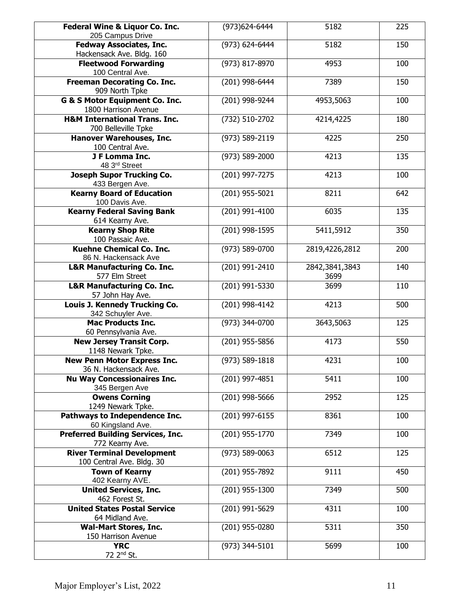| Federal Wine & Liquor Co. Inc.                       | (973) 624-6444     | 5182           | 225 |
|------------------------------------------------------|--------------------|----------------|-----|
| 205 Campus Drive                                     |                    |                |     |
| <b>Fedway Associates, Inc.</b>                       | (973) 624-6444     | 5182           | 150 |
| Hackensack Ave. Bldg. 160                            |                    |                |     |
| <b>Fleetwood Forwarding</b>                          | (973) 817-8970     | 4953           | 100 |
| 100 Central Ave.                                     |                    |                |     |
| <b>Freeman Decorating Co. Inc.</b><br>909 North Tpke | (201) 998-6444     | 7389           | 150 |
| G & S Motor Equipment Co. Inc.                       | (201) 998-9244     | 4953,5063      | 100 |
| 1800 Harrison Avenue                                 |                    |                |     |
| <b>H&amp;M International Trans. Inc.</b>             | (732) 510-2702     | 4214,4225      | 180 |
| 700 Belleville Tpke                                  |                    |                |     |
| Hanover Warehouses, Inc.<br>100 Central Ave.         | (973) 589-2119     | 4225           | 250 |
| J F Lomma Inc.                                       | $(973) 589 - 2000$ | 4213           | 135 |
| 48 3rd Street                                        |                    |                |     |
| <b>Joseph Supor Trucking Co.</b>                     | (201) 997-7275     | 4213           | 100 |
| 433 Bergen Ave.                                      |                    |                |     |
| <b>Kearny Board of Education</b>                     | (201) 955-5021     | 8211           | 642 |
| 100 Davis Ave.                                       |                    |                |     |
| <b>Kearny Federal Saving Bank</b>                    | (201) 991-4100     | 6035           | 135 |
| 614 Kearny Ave.                                      |                    |                |     |
| <b>Kearny Shop Rite</b>                              | (201) 998-1595     | 5411,5912      | 350 |
| 100 Passaic Ave.                                     |                    |                |     |
| <b>Kuehne Chemical Co. Inc.</b>                      | (973) 589-0700     | 2819,4226,2812 | 200 |
| 86 N. Hackensack Ave                                 |                    |                |     |
| <b>L&amp;R Manufacturing Co. Inc.</b>                | (201) 991-2410     | 2842,3841,3843 | 140 |
| 577 Elm Street                                       |                    | 3699           |     |
| <b>L&amp;R Manufacturing Co. Inc.</b>                | (201) 991-5330     | 3699           | 110 |
| 57 John Hay Ave.                                     |                    |                |     |
| Louis J. Kennedy Trucking Co.                        | (201) 998-4142     | 4213           | 500 |
| 342 Schuyler Ave.                                    |                    |                |     |
| <b>Mac Products Inc.</b>                             | (973) 344-0700     | 3643,5063      | 125 |
| 60 Pennsylvania Ave.                                 |                    |                |     |
| <b>New Jersey Transit Corp.</b>                      | (201) 955-5856     | 4173           | 550 |
| 1148 Newark Tpke.                                    |                    |                |     |
| <b>New Penn Motor Express Inc.</b>                   | $(973) 589 - 1818$ | 4231           | 100 |
| 36 N. Hackensack Ave.                                |                    |                |     |
| <b>Nu Way Concessionaires Inc.</b>                   | (201) 997-4851     | 5411           | 100 |
| 345 Bergen Ave                                       |                    |                |     |
| <b>Owens Corning</b>                                 | (201) 998-5666     | 2952           | 125 |
| 1249 Newark Tpke.                                    |                    |                |     |
| Pathways to Independence Inc.                        | (201) 997-6155     | 8361           | 100 |
| 60 Kingsland Ave.                                    |                    |                |     |
| <b>Preferred Building Services, Inc.</b>             | (201) 955-1770     | 7349           | 100 |
| 772 Kearny Ave.                                      |                    |                |     |
| <b>River Terminal Development</b>                    | (973) 589-0063     | 6512           | 125 |
| 100 Central Ave. Bldg. 30                            |                    |                |     |
| <b>Town of Kearny</b>                                | (201) 955-7892     | 9111           | 450 |
| 402 Kearny AVE.                                      |                    |                |     |
| <b>United Services, Inc.</b><br>462 Forest St.       | (201) 955-1300     | 7349           | 500 |
| <b>United States Postal Service</b>                  | (201) 991-5629     | 4311           | 100 |
| 64 Midland Ave.                                      |                    |                |     |
| <b>Wal-Mart Stores, Inc.</b>                         | (201) 955-0280     | 5311           | 350 |
| 150 Harrison Avenue                                  |                    |                |     |
| <b>YRC</b>                                           | (973) 344-5101     | 5699           | 100 |
| 72 2 <sup>nd</sup> St.                               |                    |                |     |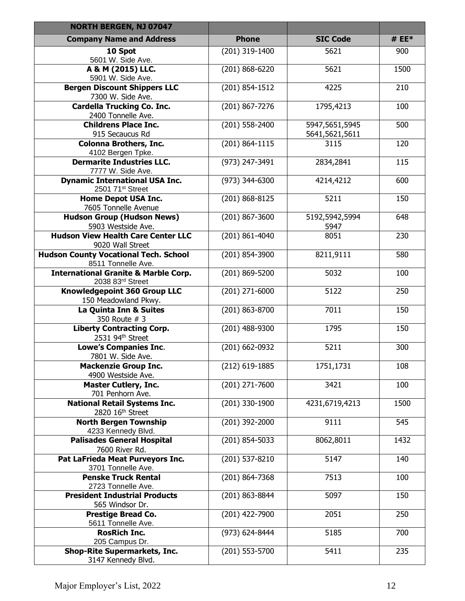| <b>NORTH BERGEN, NJ 07047</b>                                         |                    |                                  |         |
|-----------------------------------------------------------------------|--------------------|----------------------------------|---------|
| <b>Company Name and Address</b>                                       | <b>Phone</b>       | <b>SIC Code</b>                  | # $EE*$ |
| 10 Spot<br>5601 W. Side Ave.                                          | (201) 319-1400     | 5621                             | 900     |
| A & M (2015) LLC.<br>5901 W. Side Ave.                                | (201) 868-6220     | 5621                             | 1500    |
| <b>Bergen Discount Shippers LLC</b><br>7300 W. Side Ave.              | $(201) 854 - 1512$ | 4225                             | 210     |
| <b>Cardella Trucking Co. Inc.</b><br>2400 Tonnelle Ave.               | $(201) 867 - 7276$ | 1795,4213                        | 100     |
| <b>Childrens Place Inc.</b><br>915 Secaucus Rd                        | (201) 558-2400     | 5947,5651,5945<br>5641,5621,5611 | 500     |
| <b>Colonna Brothers, Inc.</b><br>4102 Bergen Tpke.                    | (201) 864-1115     | 3115                             | 120     |
| <b>Dermarite Industries LLC.</b><br>7777 W. Side Ave.                 | (973) 247-3491     | 2834,2841                        | 115     |
| <b>Dynamic International USA Inc.</b><br>2501 71 <sup>st</sup> Street | (973) 344-6300     | 4214,4212                        | 600     |
| <b>Home Depot USA Inc.</b><br>7605 Tonnelle Avenue                    | (201) 868-8125     | 5211                             | 150     |
| <b>Hudson Group (Hudson News)</b><br>5903 Westside Ave.               | (201) 867-3600     | 5192,5942,5994<br>5947           | 648     |
| <b>Hudson View Health Care Center LLC</b><br>9020 Wall Street         | (201) 861-4040     | 8051                             | 230     |
| <b>Hudson County Vocational Tech. School</b><br>8511 Tonnelle Ave.    | (201) 854-3900     | 8211,9111                        | 580     |
| <b>International Granite &amp; Marble Corp.</b><br>2038 83rd Street   | (201) 869-5200     | 5032                             | 100     |
| Knowledgepoint 360 Group LLC<br>150 Meadowland Pkwy.                  | $(201)$ 271-6000   | 5122                             | 250     |
| La Quinta Inn & Suites<br>350 Route # 3                               | (201) 863-8700     | 7011                             | 150     |
| <b>Liberty Contracting Corp.</b><br>2531 94th Street                  | (201) 488-9300     | 1795                             | 150     |
| <b>Lowe's Companies Inc.</b><br>7801 W. Side Ave.                     | (201) 662-0932     | 5211                             | 300     |
| <b>Mackenzie Group Inc.</b><br>4900 Westside Ave.                     | (212) 619-1885     | 1751,1731                        | 108     |
| <b>Master Cutlery, Inc.</b><br>701 Penhorn Ave.                       | (201) 271-7600     | 3421                             | 100     |
| <b>National Retail Systems Inc.</b><br>2820 16th Street               | (201) 330-1900     | 4231,6719,4213                   | 1500    |
| <b>North Bergen Township</b><br>4233 Kennedy Blvd.                    | (201) 392-2000     | 9111                             | 545     |
| <b>Palisades General Hospital</b><br>7600 River Rd.                   | (201) 854-5033     | 8062,8011                        | 1432    |
| Pat LaFrieda Meat Purveyors Inc.<br>3701 Tonnelle Ave.                | (201) 537-8210     | 5147                             | 140     |
| <b>Penske Truck Rental</b><br>2723 Tonnelle Ave.                      | (201) 864-7368     | 7513                             | 100     |
| <b>President Industrial Products</b><br>565 Windsor Dr.               | (201) 863-8844     | 5097                             | 150     |
| <b>Prestige Bread Co.</b><br>5611 Tonnelle Ave.                       | (201) 422-7900     | 2051                             | 250     |
| <b>RosRich Inc.</b><br>205 Campus Dr.                                 | (973) 624-8444     | 5185                             | 700     |
| <b>Shop-Rite Supermarkets, Inc.</b><br>3147 Kennedy Blvd.             | (201) 553-5700     | 5411                             | 235     |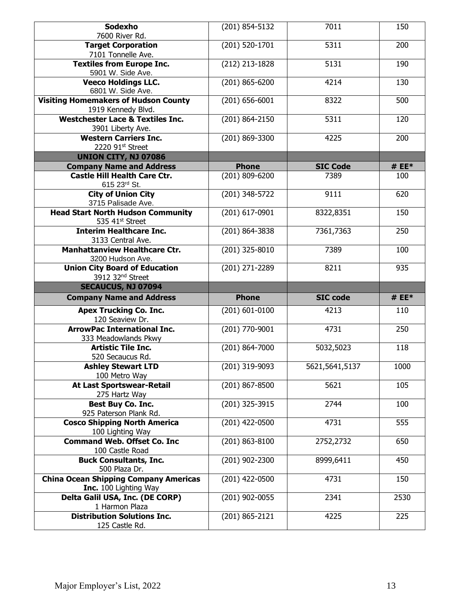| Sodexho<br>7600 River Rd.                                                         | (201) 854-5132     | 7011            | 150     |
|-----------------------------------------------------------------------------------|--------------------|-----------------|---------|
| <b>Target Corporation</b><br>7101 Tonnelle Ave.                                   | (201) 520-1701     | 5311            | 200     |
| <b>Textiles from Europe Inc.</b><br>5901 W. Side Ave.                             | (212) 213-1828     | 5131            | 190     |
| <b>Veeco Holdings LLC.</b><br>6801 W. Side Ave.                                   | (201) 865-6200     | 4214            | 130     |
| <b>Visiting Homemakers of Hudson County</b><br>1919 Kennedy Blvd.                 | $(201) 656 - 6001$ | 8322            | 500     |
| <b>Westchester Lace &amp; Textiles Inc.</b><br>3901 Liberty Ave.                  | (201) 864-2150     | 5311            | 120     |
| <b>Western Carriers Inc.</b><br>2220 91st Street                                  | (201) 869-3300     | 4225            | 200     |
| <b>UNION CITY, NJ 07086</b>                                                       |                    |                 |         |
| <b>Company Name and Address</b>                                                   | <b>Phone</b>       | <b>SIC Code</b> | # $EE*$ |
| <b>Castle Hill Health Care Ctr.</b><br>615 23rd St.                               | (201) 809-6200     | 7389            | 100     |
| <b>City of Union City</b><br>3715 Palisade Ave.                                   | (201) 348-5722     | 9111            | 620     |
| <b>Head Start North Hudson Community</b><br>535 41st Street                       | (201) 617-0901     | 8322,8351       | 150     |
| <b>Interim Healthcare Inc.</b><br>3133 Central Ave.                               | (201) 864-3838     | 7361,7363       | 250     |
| <b>Manhattanview Healthcare Ctr.</b><br>3200 Hudson Ave.                          | (201) 325-8010     | 7389            | 100     |
| <b>Union City Board of Education</b>                                              | (201) 271-2289     | 8211            | 935     |
| 3912 32 <sup>nd</sup> Street                                                      |                    |                 |         |
| <b>SECAUCUS, NJ 07094</b>                                                         |                    |                 |         |
| <b>Company Name and Address</b>                                                   | <b>Phone</b>       | <b>SIC code</b> | # $EE*$ |
| <b>Apex Trucking Co. Inc.</b>                                                     | $(201) 601 - 0100$ | 4213            | 110     |
| 120 Seaview Dr.<br><b>ArrowPac International Inc.</b>                             | (201) 770-9001     | 4731            | 250     |
| 333 Meadowlands Pkwy<br><b>Artistic Tile Inc.</b><br>520 Secaucus Rd.             | (201) 864-7000     | 5032,5023       | 118     |
| <b>Ashley Stewart LTD</b>                                                         | (201) 319-9093     | 5621,5641,5137  | 1000    |
| 100 Metro Way<br><b>At Last Sportswear-Retail</b>                                 | (201) 867-8500     | 5621            | 105     |
| 275 Hartz Way<br>Best Buy Co. Inc.<br>925 Paterson Plank Rd.                      | (201) 325-3915     | 2744            | 100     |
| <b>Cosco Shipping North America</b><br>100 Lighting Way                           | (201) 422-0500     | 4731            | 555     |
| <b>Command Web. Offset Co. Inc</b>                                                | (201) 863-8100     | 2752,2732       | 650     |
| 100 Castle Road<br><b>Buck Consultants, Inc.</b>                                  | (201) 902-2300     | 8999,6411       | 450     |
| 500 Plaza Dr.<br><b>China Ocean Shipping Company Americas</b>                     | (201) 422-0500     | 4731            | 150     |
| <b>Inc.</b> 100 Lighting Way<br>Delta Galil USA, Inc. (DE CORP)<br>1 Harmon Plaza | (201) 902-0055     | 2341            | 2530    |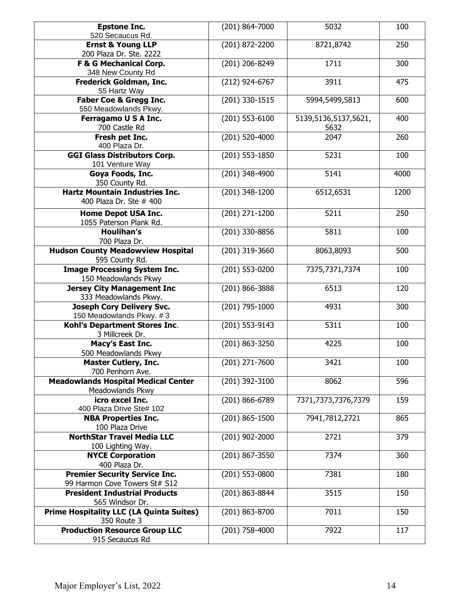| <b>Epstone Inc.</b>                                       | (201) 864-7000     | 5032                 | 100  |
|-----------------------------------------------------------|--------------------|----------------------|------|
| 520 Secaucus Rd.<br><b>Ernst &amp; Young LLP</b>          | (201) 872-2200     | 8721,8742            | 250  |
| 200 Plaza Dr. Ste. 2222                                   |                    |                      |      |
| <b>F &amp; G Mechanical Corp.</b>                         | (201) 206-8249     | 1711                 | 300  |
| 348 New County Rd                                         |                    |                      |      |
| Frederick Goldman, Inc.                                   | (212) 924-6767     | 3911                 | 475  |
| 55 Hartz Way                                              |                    |                      |      |
| <b>Faber Coe &amp; Gregg Inc.</b>                         | (201) 330-1515     | 5994,5499,5813       | 600  |
| 550 Meadowlands Pkwy.                                     |                    |                      |      |
| Ferragamo U S A Inc.                                      | (201) 553-6100     | 5139,5136,5137,5621, | 400  |
| 700 Castle Rd<br>Fresh pet Inc.                           | (201) 520-4000     | 5632<br>2047         | 260  |
| 400 Plaza Dr.                                             |                    |                      |      |
| <b>GGI Glass Distributors Corp.</b>                       | (201) 553-1850     | 5231                 | 100  |
| 101 Venture Way                                           |                    |                      |      |
| Goya Foods, Inc.                                          | (201) 348-4900     | 5141                 | 4000 |
| 350 County Rd.                                            |                    |                      |      |
| <b>Hartz Mountain Industries Inc.</b>                     | (201) 348-1200     | 6512,6531            | 1200 |
| 400 Plaza Dr. Ste # 400                                   |                    |                      |      |
| <b>Home Depot USA Inc.</b>                                | (201) 271-1200     | 5211                 | 250  |
| 1055 Paterson Plank Rd.                                   |                    |                      |      |
| <b>Houlihan's</b><br>700 Plaza Dr.                        | (201) 330-8856     | 5811                 | 100  |
| <b>Hudson County Meadowview Hospital</b>                  | (201) 319-3660     | 8063,8093            | 500  |
| 595 County Rd.                                            |                    |                      |      |
| <b>Image Processing System Inc.</b>                       | (201) 553-0200     | 7375,7371,7374       | 100  |
| 150 Meadowlands Pkwy                                      |                    |                      |      |
| <b>Jersey City Management Inc</b>                         | (201) 866-3888     | 6513                 | 120  |
| 333 Meadowlands Pkwy.                                     |                    |                      |      |
| <b>Joseph Cory Delivery Svc.</b>                          | (201) 795-1000     | 4931                 | 300  |
| 150 Meadowlands Pkwy. #3<br>Kohl's Department Stores Inc. | (201) 553-9143     | 5311                 | 100  |
| 3 Millcreek Dr.                                           |                    |                      |      |
| Macy's East Inc.                                          | (201) 863-3250     | 4225                 | 100  |
| 500 Meadowlands Pkwy                                      |                    |                      |      |
| <b>Master Cutlery, Inc.</b>                               | (201) 271-7600     | 3421                 | 100  |
| 700 Penhorn Ave.                                          |                    |                      |      |
| <b>Meadowlands Hospital Medical Center</b>                | (201) 392-3100     | 8062                 | 596  |
| Meadowlands Pkwy                                          |                    |                      |      |
| icro excel Inc.<br>400 Plaza Drive Ste# 102               | (201) 866-6789     | 7371,7373,7376,7379  | 159  |
| <b>NBA Properties Inc.</b>                                | $(201) 865 - 1500$ | 7941,7812,2721       | 865  |
| 100 Plaza Drive                                           |                    |                      |      |
| <b>NorthStar Travel Media LLC</b>                         | (201) 902-2000     | 2721                 | 379  |
| 100 Lighting Way.                                         |                    |                      |      |
| <b>NYCE Corporation</b>                                   | (201) 867-3550     | 7374                 | 360  |
| 400 Plaza Dr.                                             |                    |                      |      |
| <b>Premier Security Service Inc.</b>                      | (201) 553-0800     | 7381                 | 180  |
| 99 Harmon Cove Towers St# S12                             |                    |                      |      |
| <b>President Industrial Products</b><br>565 Windsor Dr.   | (201) 863-8844     | 3515                 | 150  |
| <b>Prime Hospitality LLC (LA Quinta Suites)</b>           | (201) 863-8700     | 7011                 | 150  |
| 350 Route 3                                               |                    |                      |      |
| <b>Production Resource Group LLC</b>                      | (201) 758-4000     | 7922                 | 117  |
| 915 Secaucus Rd                                           |                    |                      |      |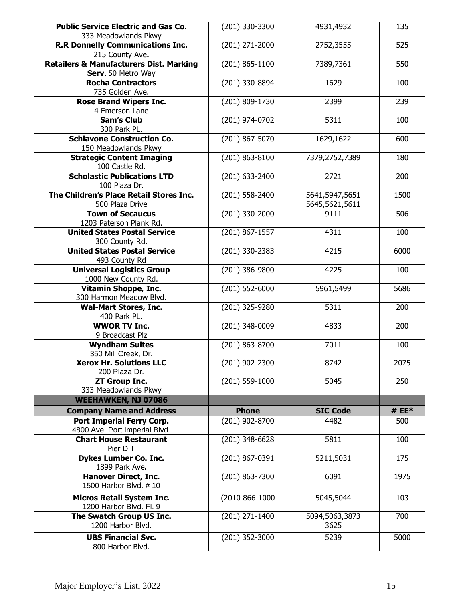| <b>Public Service Electric and Gas Co.</b>                            | (201) 330-3300     | 4931,4932       | 135     |
|-----------------------------------------------------------------------|--------------------|-----------------|---------|
| 333 Meadowlands Pkwy                                                  |                    |                 |         |
| <b>R.R Donnelly Communications Inc.</b>                               | (201) 271-2000     | 2752,3555       | 525     |
| 215 County Ave.<br><b>Retailers &amp; Manufacturers Dist. Marking</b> | $(201) 865 - 1100$ |                 | 550     |
| Serv. 50 Metro Way                                                    |                    | 7389,7361       |         |
| <b>Rocha Contractors</b>                                              | (201) 330-8894     | 1629            | 100     |
| 735 Golden Ave.                                                       |                    |                 |         |
| <b>Rose Brand Wipers Inc.</b>                                         | (201) 809-1730     | 2399            | 239     |
| 4 Emerson Lane                                                        |                    |                 |         |
| <b>Sam's Club</b>                                                     | (201) 974-0702     | 5311            | 100     |
| 300 Park PL.                                                          |                    |                 |         |
| <b>Schiavone Construction Co.</b>                                     | (201) 867-5070     | 1629,1622       | 600     |
| 150 Meadowlands Pkwy                                                  |                    |                 |         |
| <b>Strategic Content Imaging</b>                                      | (201) 863-8100     | 7379,2752,7389  | 180     |
| 100 Castle Rd.                                                        |                    |                 |         |
| <b>Scholastic Publications LTD</b>                                    | (201) 633-2400     | 2721            | 200     |
| 100 Plaza Dr.<br>The Children's Place Retail Stores Inc.              | (201) 558-2400     | 5641,5947,5651  | 1500    |
| 500 Plaza Drive                                                       |                    | 5645,5621,5611  |         |
| <b>Town of Secaucus</b>                                               | (201) 330-2000     | 9111            | 506     |
| 1203 Paterson Plank Rd.                                               |                    |                 |         |
| <b>United States Postal Service</b>                                   | (201) 867-1557     | 4311            | 100     |
| 300 County Rd.                                                        |                    |                 |         |
| <b>United States Postal Service</b>                                   | (201) 330-2383     | 4215            | 6000    |
| 493 County Rd                                                         |                    |                 |         |
| <b>Universal Logistics Group</b>                                      | (201) 386-9800     | 4225            | 100     |
| 1000 New County Rd.                                                   |                    |                 |         |
| Vitamin Shoppe, Inc.                                                  | (201) 552-6000     | 5961,5499       | 5686    |
| 300 Harmon Meadow Blvd.                                               |                    | 5311            | 200     |
| <b>Wal-Mart Stores, Inc.</b><br>400 Park PL.                          | (201) 325-9280     |                 |         |
| <b>WWOR TV Inc.</b>                                                   | $(201)$ 348-0009   | 4833            | 200     |
| 9 Broadcast Plz                                                       |                    |                 |         |
| <b>Wyndham Suites</b>                                                 | (201) 863-8700     | 7011            | 100     |
| 350 Mill Creek, Dr.                                                   |                    |                 |         |
| <b>Xerox Hr. Solutions LLC</b>                                        | $(201)$ 902-2300   | 8742            | 2075    |
| 200 Plaza Dr.                                                         |                    |                 |         |
| <b>ZT Group Inc.</b>                                                  | (201) 559-1000     | 5045            | 250     |
| 333 Meadowlands Pkwy<br><b>WEEHAWKEN, NJ 07086</b>                    |                    |                 |         |
|                                                                       | <b>Phone</b>       |                 | # $EE*$ |
| <b>Company Name and Address</b>                                       |                    | <b>SIC Code</b> |         |
| Port Imperial Ferry Corp.<br>4800 Ave. Port Imperial Blvd.            | (201) 902-8700     | 4482            | 500     |
| <b>Chart House Restaurant</b>                                         | (201) 348-6628     | 5811            | 100     |
| Pier D T                                                              |                    |                 |         |
| <b>Dykes Lumber Co. Inc.</b>                                          | (201) 867-0391     | 5211,5031       | 175     |
| 1899 Park Ave.                                                        |                    |                 |         |
| <b>Hanover Direct, Inc.</b>                                           | (201) 863-7300     | 6091            | 1975    |
| 1500 Harbor Blvd. #10                                                 |                    |                 |         |
| <b>Micros Retail System Inc.</b>                                      | (2010 866-1000     | 5045,5044       | 103     |
| 1200 Harbor Blvd. Fl. 9                                               |                    |                 |         |
| The Swatch Group US Inc.                                              | (201) 271-1400     | 5094,5063,3873  | 700     |
| 1200 Harbor Blvd.                                                     |                    | 3625            |         |
| <b>UBS Financial Svc.</b>                                             | (201) 352-3000     | 5239            | 5000    |
| 800 Harbor Blvd.                                                      |                    |                 |         |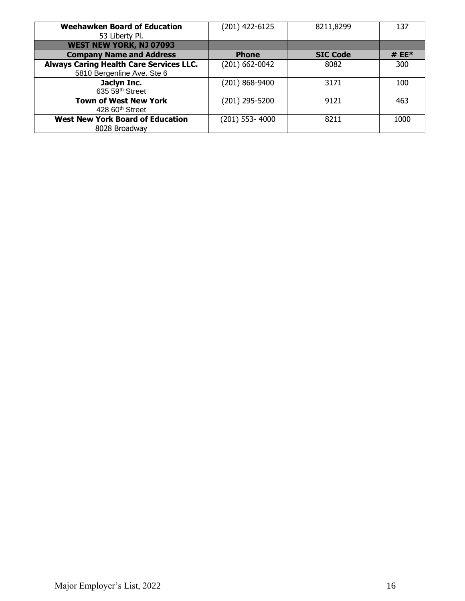| <b>Weehawken Board of Education</b>            | (201) 422-6125 | 8211,8299       | 137     |
|------------------------------------------------|----------------|-----------------|---------|
| 53 Liberty Pl.                                 |                |                 |         |
| WEST NEW YORK, NJ 07093                        |                |                 |         |
| <b>Company Name and Address</b>                | <b>Phone</b>   | <b>SIC Code</b> | # $EE*$ |
| <b>Always Caring Health Care Services LLC.</b> | (201) 662-0042 | 8082            | 300     |
| 5810 Bergenline Ave. Ste 6                     |                |                 |         |
| Jaclyn Inc.                                    | (201) 868-9400 | 3171            | 100     |
| 635 59 <sup>th</sup> Street                    |                |                 |         |
| <b>Town of West New York</b>                   | (201) 295-5200 | 9121            | 463     |
| 428 60 <sup>th</sup> Street                    |                |                 |         |
| <b>West New York Board of Education</b>        | (201) 553-4000 | 8211            | 1000    |
| 8028 Broadway                                  |                |                 |         |